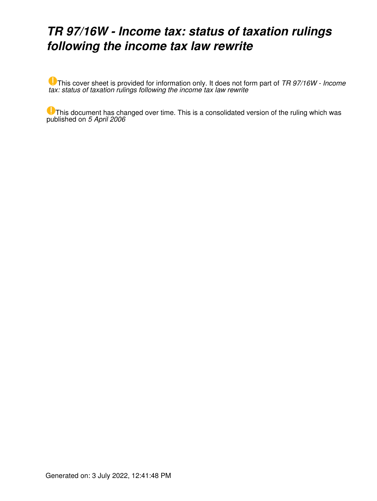# *TR 97/16W - Income tax: status of taxation rulings following the income tax law rewrite*

This cover sheet is provided for information only. It does not form part of *TR 97/16W - Income tax: status of taxation rulings following the income tax law rewrite*

**U** This document has changed over time. This is a consolidated version of the ruling which was published on *5 April 2006*